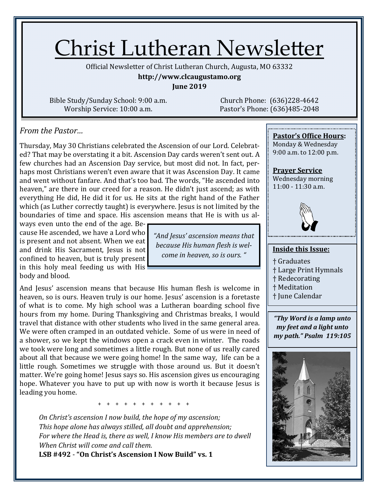# Christ Lutheran Newsletter

Official Newsletter of Christ Lutheran Church, Augusta, MO 63332

**http://www.clcaugustamo.org**

**June 2019**

Bible Study/Sunday School: 9:00 a.m. Worship Service: 10:00 a.m.

Church Phone: (636)228-4642 Pastor's Phone: (636)485-2048

#### *From the Pastor…*

Thursday, May 30 Christians celebrated the Ascension of our Lord. Celebrated? That may be overstating it a bit. Ascension Day cards weren't sent out. A few churches had an Ascension Day service, but most did not. In fact, perhaps most Christians weren't even aware that it was Ascension Day. It came and went without fanfare. And that's too bad. The words, "He ascended into heaven," are there in our creed for a reason. He didn't just ascend; as with everything He did, He did it for us. He sits at the right hand of the Father which (as Luther correctly taught) is everywhere. Jesus is not limited by the boundaries of time and space. His ascension means that He is with us al-

ways even unto the end of the age. Because He ascended, we have a Lord who is present and not absent. When we eat and drink His Sacrament, Jesus is not confined to heaven, but is truly present in this holy meal feeding us with His body and blood.

And Jesus' ascension means that because His human flesh is welcome in heaven, so is ours. Heaven truly is our home. Jesus' ascension is a foretaste of what is to come. My high school was a Lutheran boarding school five hours from my home. During Thanksgiving and Christmas breaks, I would travel that distance with other students who lived in the same general area. We were often cramped in an outdated vehicle. Some of us were in need of a shower, so we kept the windows open a crack even in winter. The roads we took were long and sometimes a little rough. But none of us really cared about all that because we were going home! In the same way, life can be a little rough. Sometimes we struggle with those around us. But it doesn't matter. We're going home! Jesus says so. His ascension gives us encouraging hope. Whatever you have to put up with now is worth it because Jesus is leading you home.

+ + + + + + + + + + +

*On Christ's ascension I now build, the hope of my ascension; This hope alone has always stilled, all doubt and apprehension; For where the Head is, there as well, I know His members are to dwell When Christ will come and call them.*

**LSB #492** - **"On Christ's Ascension I Now Build" vs. 1** 

*"And Jesus' ascension means that because His human flesh is welcome in heaven, so is ours. "*

#### **Pastor's Office Hours:**

Monday & Wednesday 9:00 a.m. to 12:00 p.m.

**Prayer Service** Wednesday morning 11:00 - 11:30 a.m.



#### **Inside this Issue:**

- † Graduates
- † Large Print Hymnals
- † Redecorating
- † Meditation
- † June Calendar

*"Thy Word is a lamp unto my feet and a light unto my path." Psalm 119:105*

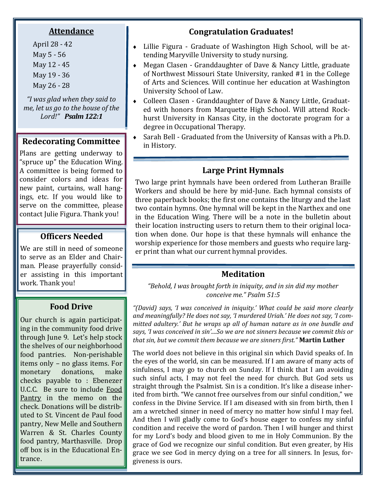#### **Attendance**

April 28 - 42 May 5 - 56 May 12 - 45 May 19 - 36 May 26 - 28

*"I was glad when they said to me, let us go to the house of the Lord!" Psalm 122:1*

### **Redecorating Committee**  $\begin{array}{c} \bullet \quad \text{Satali Bell} \\ \text{in History.} \end{array}$

Plans are getting underway to "spruce up" the Education Wing. A committee is being formed to consider colors and ideas for new paint, curtains, wall hangings, etc. If you would like to serve on the committee, please contact Julie Figura. Thank you!

#### **Officers Needed**

We are still in need of someone to serve as an Elder and Chairman. Please prayerfully consider assisting in this important work. Thank you!

#### **Food Drive**

Our church is again participating in the community food drive through June 9. Let's help stock the shelves of our neighborhood food pantries. Non-perishable items only – no glass items. For monetary donations, make checks payable to : Ebenezer U.C.C. Be sure to include Food Pantry in the memo on the check. Donations will be distributed to St. Vincent de Paul food pantry, New Melle and Southern Warren & St. Charles County food pantry, Marthasville. Drop off box is in the Educational Entrance.

#### **Congratulation Graduates!**

- Lillie Figura Graduate of Washington High School, will be attending Maryville University to study nursing.
- Megan Clasen Granddaughter of Dave & Nancy Little, graduate of Northwest Missouri State University, ranked #1 in the College of Arts and Sciences. Will continue her education at Washington University School of Law.
- Colleen Clasen Granddaughter of Dave & Nancy Little, Graduated with honors from Marquette High School. Will attend Rockhurst University in Kansas City, in the doctorate program for a degree in Occupational Therapy.
- Sarah Bell Graduated from the University of Kansas with a Ph.D.

#### **Large Print Hymnals**

Two large print hymnals have been ordered from Lutheran Braille Workers and should be here by mid-June. Each hymnal consists of three paperback books; the first one contains the liturgy and the last two contain hymns. One hymnal will be kept in the Narthex and one in the Education Wing. There will be a note in the bulletin about their location instructing users to return them to their original location when done. Our hope is that these hymnals will enhance the worship experience for those members and guests who require larger print than what our current hymnal provides.

#### **Meditation**

*"Behold, I was brought forth in iniquity, and in sin did my mother conceive me." Psalm 51:5*

*"(David) says, 'I was conceived in iniquity.' What could be said more clearly and meaningfully? He does not say, 'I murdered Uriah.' He does not say, 'I committed adultery.' But he wraps up all of human nature as in one bundle and says, 'I was conceived in sin'....So we are not sinners because we commit this or that sin, but we commit them because we are sinners first."* **Martin Luther**

The world does not believe in this original sin which David speaks of. In the eyes of the world, sin can be measured. If I am aware of many acts of sinfulness, I may go to church on Sunday. If I think that I am avoiding such sinful acts, I may not feel the need for church. But God sets us straight through the Psalmist. Sin is a condition. It's like a disease inherited from birth. "We cannot free ourselves from our sinful condition," we confess in the Divine Service. If I am diseased with sin from birth, then I am a wretched sinner in need of mercy no matter how sinful I may feel. And then I will gladly come to God's house eager to confess my sinful condition and receive the word of pardon. Then I will hunger and thirst for my Lord's body and blood given to me in Holy Communion. By the grace of God we recognize our sinful condition. But even greater, by His grace we see God in mercy dying on a tree for all sinners. In Jesus, forgiveness is ours.